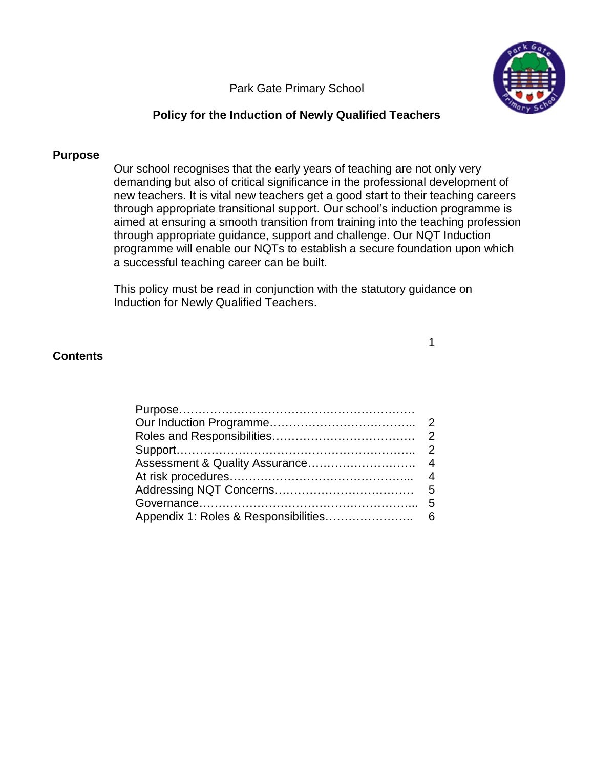Park Gate Primary School



# **Policy for the Induction of Newly Qualified Teachers**

## **Purpose**

Our school recognises that the early years of teaching are not only very demanding but also of critical significance in the professional development of new teachers. It is vital new teachers get a good start to their teaching careers through appropriate transitional support. Our school's induction programme is aimed at ensuring a smooth transition from training into the teaching profession through appropriate guidance, support and challenge. Our NQT Induction programme will enable our NQTs to establish a secure foundation upon which a successful teaching career can be built.

1

This policy must be read in conjunction with the statutory guidance on Induction for Newly Qualified Teachers.

## **Contents**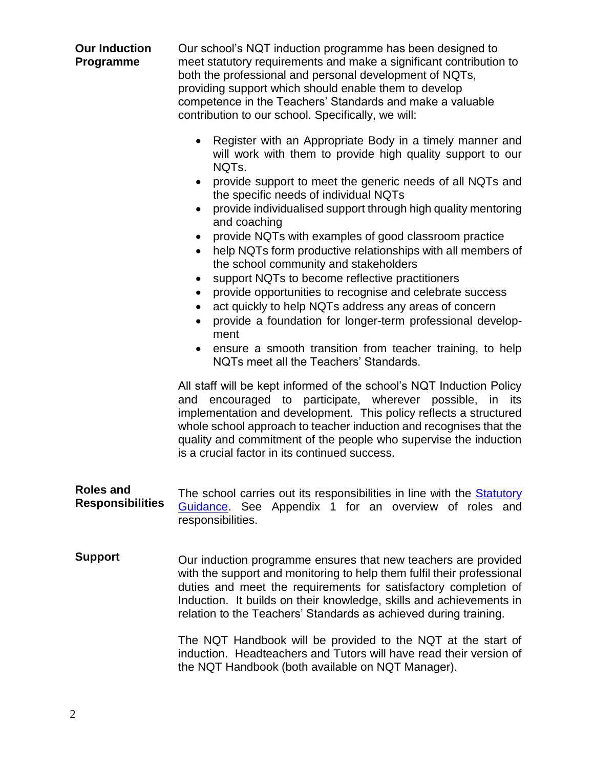### **Our Induction Programme**

Our school's NQT induction programme has been designed to meet statutory requirements and make a significant contribution to both the professional and personal development of NQTs, providing support which should enable them to develop competence in the Teachers' Standards and make a valuable contribution to our school. Specifically, we will:

- Register with an Appropriate Body in a timely manner and will work with them to provide high quality support to our NQTs.
- provide support to meet the generic needs of all NQTs and the specific needs of individual NQTs
- provide individualised support through high quality mentoring and coaching
- provide NQTs with examples of good classroom practice
- help NQTs form productive relationships with all members of the school community and stakeholders
- support NQTs to become reflective practitioners
- provide opportunities to recognise and celebrate success
- act quickly to help NQTs address any areas of concern
- provide a foundation for longer-term professional development
- ensure a smooth transition from teacher training, to help NQTs meet all the Teachers' Standards.

All staff will be kept informed of the school's NQT Induction Policy and encouraged to participate, wherever possible, in its implementation and development. This policy reflects a structured whole school approach to teacher induction and recognises that the quality and commitment of the people who supervise the induction is a crucial factor in its continued success.

- **Roles and Responsibilities** The school carries out its responsibilities in line with the **Statutory** [Guidance.](https://www.gov.uk/government/publications/induction-for-newly-qualified-teachers-nqts) See Appendix 1 for an overview of roles and responsibilities.
- **Support** Our induction programme ensures that new teachers are provided with the support and monitoring to help them fulfil their professional duties and meet the requirements for satisfactory completion of Induction. It builds on their knowledge, skills and achievements in relation to the Teachers' Standards as achieved during training.

The NQT Handbook will be provided to the NQT at the start of induction. Headteachers and Tutors will have read their version of the NQT Handbook (both available on NQT Manager).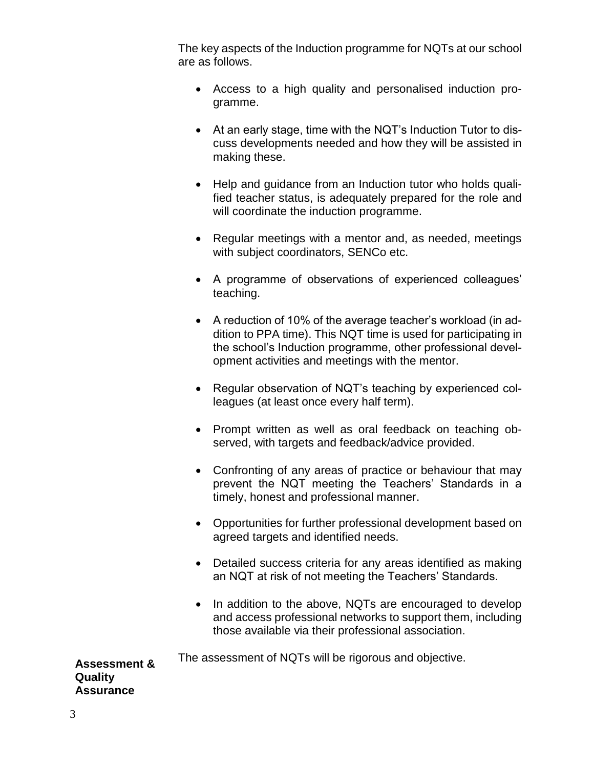The key aspects of the Induction programme for NQTs at our school are as follows.

- Access to a high quality and personalised induction programme.
- At an early stage, time with the NQT's Induction Tutor to discuss developments needed and how they will be assisted in making these.
- Help and guidance from an Induction tutor who holds qualified teacher status, is adequately prepared for the role and will coordinate the induction programme.
- Regular meetings with a mentor and, as needed, meetings with subject coordinators, SENCo etc.
- A programme of observations of experienced colleagues' teaching.
- A reduction of 10% of the average teacher's workload (in addition to PPA time). This NQT time is used for participating in the school's Induction programme, other professional development activities and meetings with the mentor.
- Regular observation of NQT's teaching by experienced colleagues (at least once every half term).
- Prompt written as well as oral feedback on teaching observed, with targets and feedback/advice provided.
- Confronting of any areas of practice or behaviour that may prevent the NQT meeting the Teachers' Standards in a timely, honest and professional manner.
- Opportunities for further professional development based on agreed targets and identified needs.
- Detailed success criteria for any areas identified as making an NQT at risk of not meeting the Teachers' Standards.
- In addition to the above, NQTs are encouraged to develop and access professional networks to support them, including those available via their professional association.

The assessment of NQTs will be rigorous and objective.

**Assessment & Quality Assurance**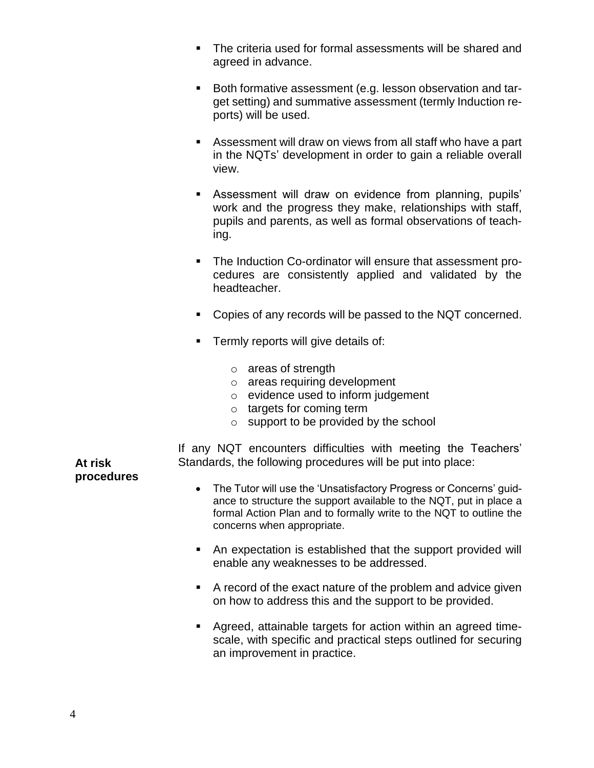- The criteria used for formal assessments will be shared and agreed in advance.
- Both formative assessment (e.g. lesson observation and target setting) and summative assessment (termly Induction reports) will be used.
- Assessment will draw on views from all staff who have a part in the NQTs' development in order to gain a reliable overall view.
- Assessment will draw on evidence from planning, pupils' work and the progress they make, relationships with staff, pupils and parents, as well as formal observations of teaching.
- The Induction Co-ordinator will ensure that assessment procedures are consistently applied and validated by the headteacher.
- Copies of any records will be passed to the NQT concerned.
- **•** Termly reports will give details of:
	- o areas of strength
	- o areas requiring development
	- o evidence used to inform judgement
	- o targets for coming term
	- o support to be provided by the school

If any NQT encounters difficulties with meeting the Teachers' Standards, the following procedures will be put into place:

**At risk procedures**

- The Tutor will use the 'Unsatisfactory Progress or Concerns' guidance to structure the support available to the NQT, put in place a formal Action Plan and to formally write to the NQT to outline the concerns when appropriate.
- An expectation is established that the support provided will enable any weaknesses to be addressed.
- A record of the exact nature of the problem and advice given on how to address this and the support to be provided.
- Agreed, attainable targets for action within an agreed timescale, with specific and practical steps outlined for securing an improvement in practice.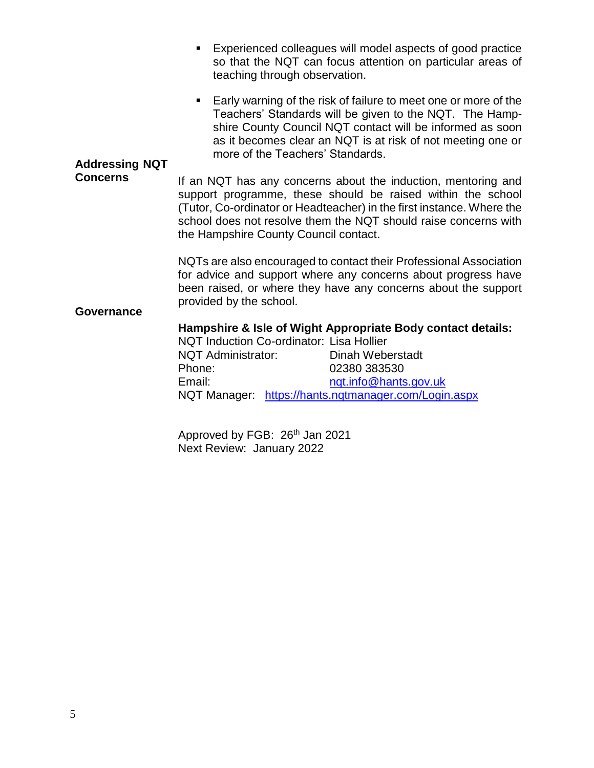- Experienced colleagues will model aspects of good practice so that the NQT can focus attention on particular areas of teaching through observation.
- Early warning of the risk of failure to meet one or more of the Teachers' Standards will be given to the NQT. The Hampshire County Council NQT contact will be informed as soon as it becomes clear an NQT is at risk of not meeting one or more of the Teachers' Standards.

#### **Addressing NQT Concerns**

If an NQT has any concerns about the induction, mentoring and support programme, these should be raised within the school (Tutor, Co-ordinator or Headteacher) in the first instance. Where the school does not resolve them the NQT should raise concerns with the Hampshire County Council contact.

NQTs are also encouraged to contact their Professional Association for advice and support where any concerns about progress have been raised, or where they have any concerns about the support provided by the school.

## **Governance**

## **Hampshire & Isle of Wight Appropriate Body contact details:**

NQT Induction Co-ordinator: Lisa Hollier NQT Administrator: Dinah Weberstadt Phone: 02380 383530 Email: ngt.info@hants.gov.uk NQT Manager: <https://hants.nqtmanager.com/Login.aspx>

Approved by FGB: 26<sup>th</sup> Jan 2021 Next Review: January 2022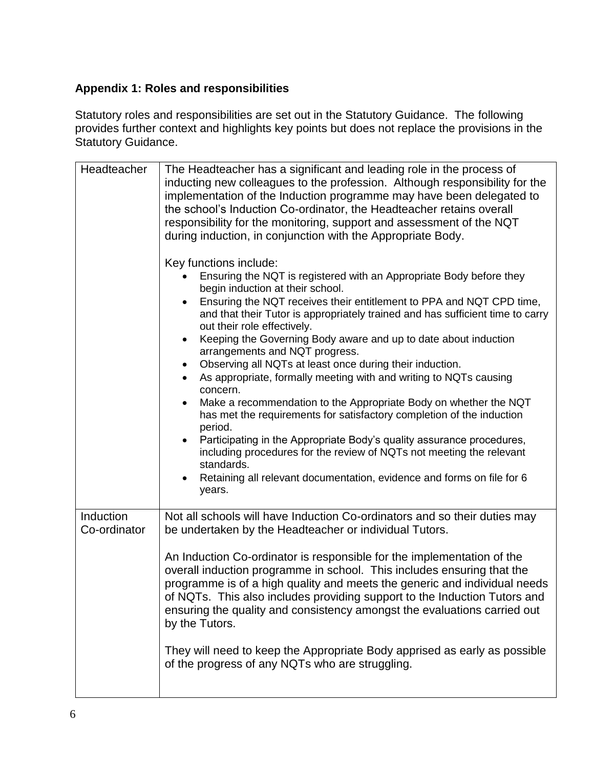# **Appendix 1: Roles and responsibilities**

Statutory roles and responsibilities are set out in the Statutory Guidance. The following provides further context and highlights key points but does not replace the provisions in the Statutory Guidance.

| Headteacher               | The Headteacher has a significant and leading role in the process of<br>inducting new colleagues to the profession. Although responsibility for the<br>implementation of the Induction programme may have been delegated to<br>the school's Induction Co-ordinator, the Headteacher retains overall                                                                                                      |
|---------------------------|----------------------------------------------------------------------------------------------------------------------------------------------------------------------------------------------------------------------------------------------------------------------------------------------------------------------------------------------------------------------------------------------------------|
|                           | responsibility for the monitoring, support and assessment of the NQT<br>during induction, in conjunction with the Appropriate Body.                                                                                                                                                                                                                                                                      |
|                           | Key functions include:<br>Ensuring the NQT is registered with an Appropriate Body before they<br>begin induction at their school.                                                                                                                                                                                                                                                                        |
|                           | Ensuring the NQT receives their entitlement to PPA and NQT CPD time,<br>and that their Tutor is appropriately trained and has sufficient time to carry<br>out their role effectively.                                                                                                                                                                                                                    |
|                           | Keeping the Governing Body aware and up to date about induction<br>arrangements and NQT progress.                                                                                                                                                                                                                                                                                                        |
|                           | Observing all NQTs at least once during their induction.<br>$\bullet$<br>As appropriate, formally meeting with and writing to NQTs causing<br>concern.                                                                                                                                                                                                                                                   |
|                           | Make a recommendation to the Appropriate Body on whether the NQT<br>$\bullet$<br>has met the requirements for satisfactory completion of the induction<br>period.                                                                                                                                                                                                                                        |
|                           | Participating in the Appropriate Body's quality assurance procedures,<br>including procedures for the review of NQTs not meeting the relevant<br>standards.                                                                                                                                                                                                                                              |
|                           | Retaining all relevant documentation, evidence and forms on file for 6<br>$\bullet$<br>years.                                                                                                                                                                                                                                                                                                            |
| Induction<br>Co-ordinator | Not all schools will have Induction Co-ordinators and so their duties may<br>be undertaken by the Headteacher or individual Tutors.                                                                                                                                                                                                                                                                      |
|                           | An Induction Co-ordinator is responsible for the implementation of the<br>overall induction programme in school. This includes ensuring that the<br>programme is of a high quality and meets the generic and individual needs<br>of NQTs. This also includes providing support to the Induction Tutors and<br>ensuring the quality and consistency amongst the evaluations carried out<br>by the Tutors. |
|                           | They will need to keep the Appropriate Body apprised as early as possible<br>of the progress of any NQTs who are struggling.                                                                                                                                                                                                                                                                             |
|                           |                                                                                                                                                                                                                                                                                                                                                                                                          |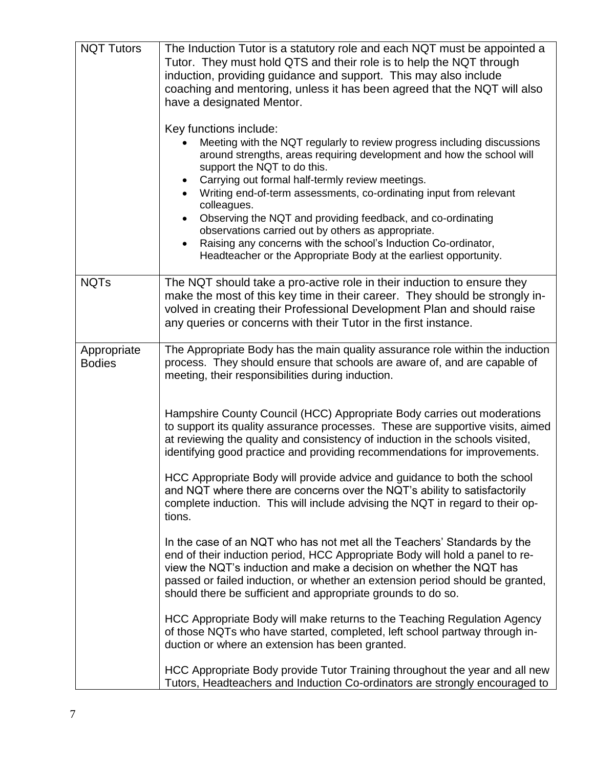| <b>NQT Tutors</b>            | The Induction Tutor is a statutory role and each NQT must be appointed a<br>Tutor. They must hold QTS and their role is to help the NQT through<br>induction, providing guidance and support. This may also include<br>coaching and mentoring, unless it has been agreed that the NQT will also<br>have a designated Mentor.                                                                                                                                                                                                                                                                                               |
|------------------------------|----------------------------------------------------------------------------------------------------------------------------------------------------------------------------------------------------------------------------------------------------------------------------------------------------------------------------------------------------------------------------------------------------------------------------------------------------------------------------------------------------------------------------------------------------------------------------------------------------------------------------|
|                              | Key functions include:<br>Meeting with the NQT regularly to review progress including discussions<br>around strengths, areas requiring development and how the school will<br>support the NQT to do this.<br>Carrying out formal half-termly review meetings.<br>Writing end-of-term assessments, co-ordinating input from relevant<br>colleagues.<br>Observing the NQT and providing feedback, and co-ordinating<br>observations carried out by others as appropriate.<br>Raising any concerns with the school's Induction Co-ordinator,<br>$\bullet$<br>Headteacher or the Appropriate Body at the earliest opportunity. |
| <b>NQTs</b>                  | The NQT should take a pro-active role in their induction to ensure they<br>make the most of this key time in their career. They should be strongly in-<br>volved in creating their Professional Development Plan and should raise<br>any queries or concerns with their Tutor in the first instance.                                                                                                                                                                                                                                                                                                                       |
| Appropriate<br><b>Bodies</b> | The Appropriate Body has the main quality assurance role within the induction<br>process. They should ensure that schools are aware of, and are capable of<br>meeting, their responsibilities during induction.                                                                                                                                                                                                                                                                                                                                                                                                            |
|                              | Hampshire County Council (HCC) Appropriate Body carries out moderations<br>to support its quality assurance processes. These are supportive visits, aimed<br>at reviewing the quality and consistency of induction in the schools visited,<br>identifying good practice and providing recommendations for improvements.                                                                                                                                                                                                                                                                                                    |
|                              | HCC Appropriate Body will provide advice and guidance to both the school<br>and NQT where there are concerns over the NQT's ability to satisfactorily<br>complete induction. This will include advising the NQT in regard to their op-<br>tions.                                                                                                                                                                                                                                                                                                                                                                           |
|                              | In the case of an NQT who has not met all the Teachers' Standards by the<br>end of their induction period, HCC Appropriate Body will hold a panel to re-<br>view the NQT's induction and make a decision on whether the NQT has<br>passed or failed induction, or whether an extension period should be granted,<br>should there be sufficient and appropriate grounds to do so.                                                                                                                                                                                                                                           |
|                              | HCC Appropriate Body will make returns to the Teaching Regulation Agency<br>of those NQTs who have started, completed, left school partway through in-<br>duction or where an extension has been granted.                                                                                                                                                                                                                                                                                                                                                                                                                  |
|                              | HCC Appropriate Body provide Tutor Training throughout the year and all new<br>Tutors, Headteachers and Induction Co-ordinators are strongly encouraged to                                                                                                                                                                                                                                                                                                                                                                                                                                                                 |